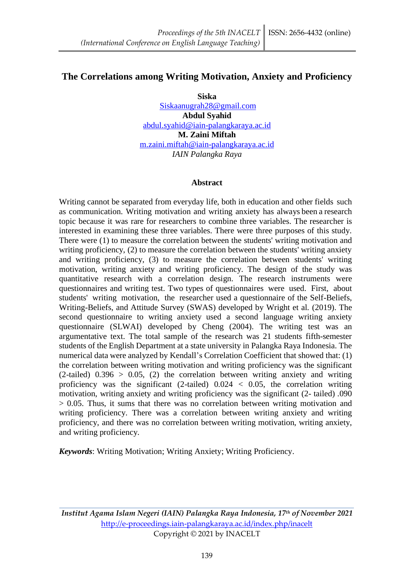# **The Correlations among Writing Motivation, Anxiety and Proficiency**

**Siska** [Siskaanugrah28@gmail.com](mailto:Siskaanugrah28@gmail.com) **Abdul Syahid** [abdul.syahid@iain-palangkaraya.ac.id](mailto:abdul.syahid@iain-palangkaraya.ac.id) **M. Zaini Miftah** [m.zaini.miftah@iain-palangkaraya.ac.id](mailto:m.zaini.miftah@iain-palangkaraya.ac.id) *IAIN Palangka Raya*

#### **Abstract**

Writing cannot be separated from everyday life, both in education and other fields such as communication. Writing motivation and writing anxiety has always been a research topic because it was rare for researchers to combine three variables. The researcher is interested in examining these three variables. There were three purposes of this study. There were (1) to measure the correlation between the students' writing motivation and writing proficiency, (2) to measure the correlation between the students' writing anxiety and writing proficiency, (3) to measure the correlation between students' writing motivation, writing anxiety and writing proficiency. The design of the study was quantitative research with a correlation design. The research instruments were questionnaires and writing test. Two types of questionnaires were used. First, about students' writing motivation, the researcher used a questionnaire of the Self-Beliefs, Writing-Beliefs, and Attitude Survey (SWAS) developed by Wright et al. (2019). The second questionnaire to writing anxiety used a second language writing anxiety questionnaire (SLWAI) developed by Cheng (2004). The writing test was an argumentative text. The total sample of the research was 21 students fifth-semester students of the English Department at a state university in Palangka Raya Indonesia. The numerical data were analyzed by Kendall's Correlation Coefficient that showed that: (1) the correlation between writing motivation and writing proficiency was the significant  $(2-tailed)$  0.396 > 0.05, (2) the correlation between writing anxiety and writing proficiency was the significant (2-tailed)  $0.024 < 0.05$ , the correlation writing motivation, writing anxiety and writing proficiency was the significant (2- tailed) .090 > 0.05. Thus, it sums that there was no correlation between writing motivation and writing proficiency. There was a correlation between writing anxiety and writing proficiency, and there was no correlation between writing motivation, writing anxiety, and writing proficiency.

*Keywords*: Writing Motivation; Writing Anxiety; Writing Proficiency.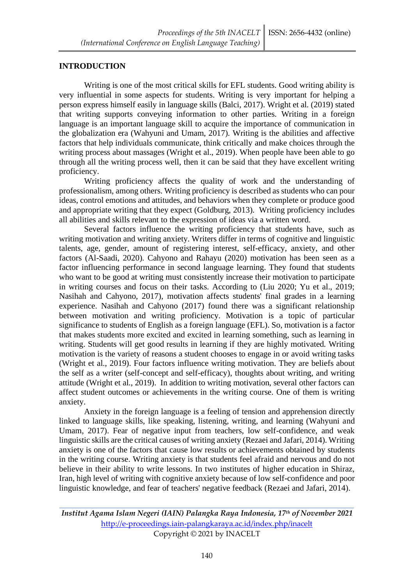### **INTRODUCTION**

Writing is one of the most critical skills for EFL students. Good writing ability is very influential in some aspects for students. Writing is very important for helping a person express himself easily in language skills (Balci, 2017). Wright et al. (2019) stated that writing supports conveying information to other parties. Writing in a foreign language is an important language skill to acquire the importance of communication in the globalization era (Wahyuni and Umam, 2017). Writing is the abilities and affective factors that help individuals communicate, think critically and make choices through the writing process about massages (Wright et al., 2019). When people have been able to go through all the writing process well, then it can be said that they have excellent writing proficiency.

Writing proficiency affects the quality of work and the understanding of professionalism, among others. Writing proficiency is described as students who can pour ideas, control emotions and attitudes, and behaviors when they complete or produce good and appropriate writing that they expect (Goldburg, 2013). Writing proficiency includes all abilities and skills relevant to the expression of ideas via a written word.

Several factors influence the writing proficiency that students have, such as writing motivation and writing anxiety. Writers differ in terms of cognitive and linguistic talents, age, gender, amount of registering interest, self-efficacy, anxiety, and other factors (Al-Saadi, 2020). Cahyono and Rahayu (2020) motivation has been seen as a factor influencing performance in second language learning. They found that students who want to be good at writing must consistently increase their motivation to participate in writing courses and focus on their tasks. According to (Liu 2020; Yu et al., 2019; Nasihah and Cahyono, 2017), motivation affects students' final grades in a learning experience. Nasihah and Cahyono (2017) found there was a significant relationship between motivation and writing proficiency. Motivation is a topic of particular significance to students of English as a foreign language (EFL). So, motivation is a factor that makes students more excited and excited in learning something, such as learning in writing. Students will get good results in learning if they are highly motivated. Writing motivation is the variety of reasons a student chooses to engage in or avoid writing tasks (Wright et al., 2019). Four factors influence writing motivation. They are beliefs about the self as a writer (self-concept and self-efficacy), thoughts about writing, and writing attitude (Wright et al., 2019). In addition to writing motivation, several other factors can affect student outcomes or achievements in the writing course. One of them is writing anxiety.

Anxiety in the foreign language is a feeling of tension and apprehension directly linked to language skills, like speaking, listening, writing, and learning (Wahyuni and Umam, 2017). Fear of negative input from teachers, low self-confidence, and weak linguistic skills are the critical causes of writing anxiety (Rezaei and Jafari, 2014). Writing anxiety is one of the factors that cause low results or achievements obtained by students in the writing course. Writing anxiety is that students feel afraid and nervous and do not believe in their ability to write lessons. In two institutes of higher education in Shiraz, Iran, high level of writing with cognitive anxiety because of low self-confidence and poor linguistic knowledge, and fear of teachers' negative feedback (Rezaei and Jafari, 2014).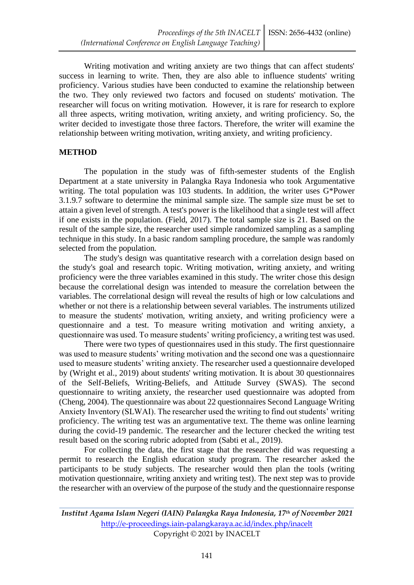Writing motivation and writing anxiety are two things that can affect students' success in learning to write. Then, they are also able to influence students' writing proficiency. Various studies have been conducted to examine the relationship between the two. They only reviewed two factors and focused on students' motivation. The researcher will focus on writing motivation. However, it is rare for research to explore all three aspects, writing motivation, writing anxiety, and writing proficiency. So, the writer decided to investigate those three factors. Therefore, the writer will examine the relationship between writing motivation, writing anxiety, and writing proficiency.

### **METHOD**

The population in the study was of fifth-semester students of the English Department at a state university in Palangka Raya Indonesia who took Argumentative writing. The total population was 103 students. In addition, the writer uses G\*Power 3.1.9.7 software to determine the minimal sample size. The sample size must be set to attain a given level of strength. A test's power is the likelihood that a single test will affect if one exists in the population. (Field, 2017). The total sample size is 21. Based on the result of the sample size, the researcher used simple randomized sampling as a sampling technique in this study. In a basic random sampling procedure, the sample was randomly selected from the population.

The study's design was quantitative research with a correlation design based on the study's goal and research topic. Writing motivation, writing anxiety, and writing proficiency were the three variables examined in this study. The writer chose this design because the correlational design was intended to measure the correlation between the variables. The correlational design will reveal the results of high or low calculations and whether or not there is a relationship between several variables. The instruments utilized to measure the students' motivation, writing anxiety, and writing proficiency were a questionnaire and a test. To measure writing motivation and writing anxiety, a questionnaire was used. To measure students' writing proficiency, a writing test was used.

There were two types of questionnaires used in this study. The first questionnaire was used to measure students' writing motivation and the second one was a questionnaire used to measure students' writing anxiety. The researcher used a questionnaire developed by (Wright et al., 2019) about students' writing motivation. It is about 30 questionnaires of the Self-Beliefs, Writing-Beliefs, and Attitude Survey (SWAS). The second questionnaire to writing anxiety, the researcher used questionnaire was adopted from (Cheng, 2004). The questionnaire was about 22 questionnaires Second Language Writing Anxiety Inventory (SLWAI). The researcher used the writing to find out students' writing proficiency. The writing test was an argumentative text. The theme was online learning during the covid-19 pandemic. The researcher and the lecturer checked the writing test result based on the scoring rubric adopted from (Sabti et al., 2019).

For collecting the data, the first stage that the researcher did was requesting a permit to research the English education study program. The researcher asked the participants to be study subjects. The researcher would then plan the tools (writing motivation questionnaire, writing anxiety and writing test). The next step was to provide the researcher with an overview of the purpose of the study and the questionnaire response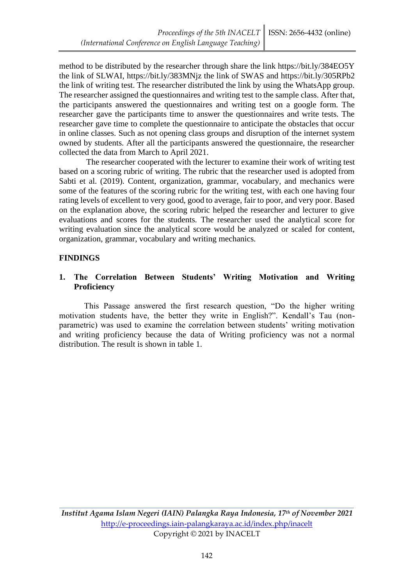method to be distributed by the researcher through share the link https://bit.ly/384EO5Y the link of SLWAI, https://bit.ly/383MNjz the link of SWAS and https://bit.ly/305RPb2 the link of writing test. The researcher distributed the link by using the WhatsApp group. The researcher assigned the questionnaires and writing test to the sample class. After that, the participants answered the questionnaires and writing test on a google form. The researcher gave the participants time to answer the questionnaires and write tests. The researcher gave time to complete the questionnaire to anticipate the obstacles that occur in online classes. Such as not opening class groups and disruption of the internet system owned by students. After all the participants answered the questionnaire, the researcher collected the data from March to April 2021.

The researcher cooperated with the lecturer to examine their work of writing test based on a scoring rubric of writing. The rubric that the researcher used is adopted from Sabti et al. (2019). Content, organization, grammar, vocabulary, and mechanics were some of the features of the scoring rubric for the writing test, with each one having four rating levels of excellent to very good, good to average, fair to poor, and very poor. Based on the explanation above, the scoring rubric helped the researcher and lecturer to give evaluations and scores for the students. The researcher used the analytical score for writing evaluation since the analytical score would be analyzed or scaled for content, organization, grammar, vocabulary and writing mechanics.

## **FINDINGS**

## **1. The Correlation Between Students' Writing Motivation and Writing Proficiency**

This Passage answered the first research question, "Do the higher writing motivation students have, the better they write in English?". Kendall's Tau (nonparametric) was used to examine the correlation between students' writing motivation and writing proficiency because the data of Writing proficiency was not a normal distribution. The result is shown in table 1.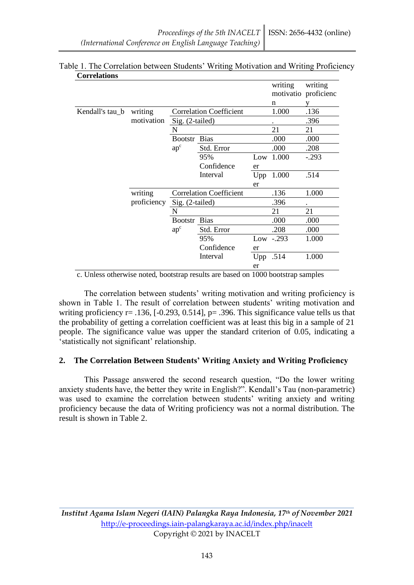| Correnanono     |                        |                                |                                |       |             |                                 |
|-----------------|------------------------|--------------------------------|--------------------------------|-------|-------------|---------------------------------|
|                 |                        |                                |                                |       | writing     | writing<br>motivatio proficienc |
|                 |                        |                                |                                |       | n           |                                 |
| Kendall's tau_b | writing<br>motivation  |                                | <b>Correlation Coefficient</b> | 1.000 | .136        |                                 |
|                 |                        | Sig. (2-tailed)                |                                |       |             | .396                            |
|                 |                        | $\mathbf N$                    |                                |       | 21          | 21                              |
|                 |                        | <b>Bootstr</b><br>$ap^c$       | <b>Bias</b>                    |       | .000        | .000                            |
|                 |                        |                                | Std. Error                     |       | .000        | .208                            |
|                 |                        |                                | 95%                            | Low   | 1.000       | $-.293$                         |
|                 |                        |                                | Confidence                     | er    |             |                                 |
|                 |                        |                                | Interval                       | Upp   | 1.000       | .514                            |
|                 |                        |                                |                                | er    |             |                                 |
|                 | writing<br>proficiency | <b>Correlation Coefficient</b> |                                |       | .136        | 1.000                           |
|                 |                        | Sig. (2-tailed)                |                                |       | .396        |                                 |
|                 |                        | N                              |                                |       | 21          | 21                              |
|                 |                        | <b>Bootstr</b><br>$ap^c$       | <b>Bias</b>                    |       | .000        | .000                            |
|                 |                        |                                | Std. Error                     |       | .208        | .000                            |
|                 |                        |                                | 95%                            |       | Low $-.293$ | 1.000                           |
|                 |                        |                                | Confidence                     | er    |             |                                 |
|                 |                        |                                | Interval                       | Upp   | .514        | 1.000                           |
|                 |                        |                                |                                | er    |             |                                 |

#### Table 1. The Correlation between Students' Writing Motivation and Writing Proficiency **Correlations**

c. Unless otherwise noted, bootstrap results are based on 1000 bootstrap samples

The correlation between students' writing motivation and writing proficiency is shown in Table 1. The result of correlation between students' writing motivation and writing proficiency  $r = .136$ ,  $[-0.293, 0.514]$ ,  $p = .396$ . This significance value tells us that the probability of getting a correlation coefficient was at least this big in a sample of 21 people. The significance value was upper the standard criterion of 0.05, indicating a 'statistically not significant' relationship.

## **2. The Correlation Between Students' Writing Anxiety and Writing Proficiency**

This Passage answered the second research question, "Do the lower writing anxiety students have, the better they write in English?". Kendall's Tau (non-parametric) was used to examine the correlation between students' writing anxiety and writing proficiency because the data of Writing proficiency was not a normal distribution. The result is shown in Table 2.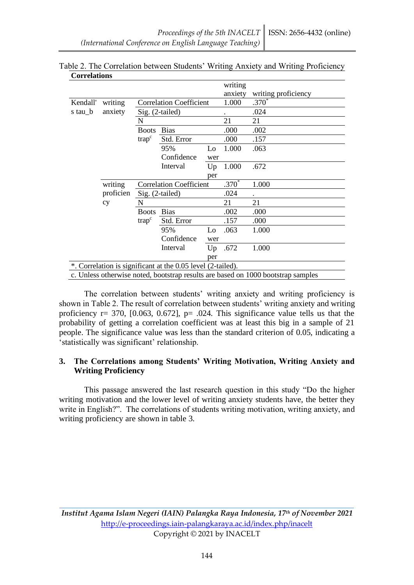| Correlations |           |                                                   |                                                             |     |         |                                                                                  |
|--------------|-----------|---------------------------------------------------|-------------------------------------------------------------|-----|---------|----------------------------------------------------------------------------------|
|              |           |                                                   |                                                             |     | writing |                                                                                  |
|              |           |                                                   |                                                             |     | anxiety | writing proficiency                                                              |
| Kendall'     | writing   | <b>Correlation Coefficient</b><br>Sig. (2-tailed) |                                                             |     | 1.000   | $.370*$                                                                          |
| s tau_b      | anxiety   |                                                   |                                                             |     |         | .024                                                                             |
|              |           | N                                                 |                                                             |     | 21      | 21                                                                               |
|              |           | <b>Boots</b>                                      | <b>Bias</b>                                                 |     | .000    | .002                                                                             |
|              |           | trap <sup>c</sup>                                 | Std. Error                                                  |     | .000    | .157                                                                             |
|              |           |                                                   | 95%                                                         | Lo  | 1.000   | .063                                                                             |
|              |           |                                                   | Confidence                                                  | wer |         |                                                                                  |
|              |           |                                                   | Interval                                                    | Up  | 1.000   | .672                                                                             |
|              |           |                                                   |                                                             | per |         |                                                                                  |
|              | writing   | <b>Correlation Coefficient</b><br>Sig. (2-tailed) |                                                             |     | $.370*$ | 1.000                                                                            |
|              | proficien |                                                   |                                                             |     | .024    |                                                                                  |
|              | cy        | N                                                 |                                                             | 21  | 21      |                                                                                  |
|              |           | <b>Boots</b><br>trap <sup>c</sup>                 | <b>Bias</b>                                                 |     | .002    | .000                                                                             |
|              |           |                                                   | Std. Error                                                  |     | .157    | .000                                                                             |
|              |           |                                                   | 95%                                                         | Lo  | .063    | 1.000                                                                            |
|              |           |                                                   | Confidence                                                  | wer |         |                                                                                  |
|              |           |                                                   | Interval                                                    | Up  | .672    | 1.000                                                                            |
|              |           |                                                   |                                                             | per |         |                                                                                  |
|              |           |                                                   | *. Correlation is significant at the 0.05 level (2-tailed). |     |         |                                                                                  |
|              |           |                                                   |                                                             |     |         | c. Unless otherwise noted, bootstrap results are based on 1000 bootstrap samples |

### Table 2. The Correlation between Students' Writing Anxiety and Writing Proficiency **Correlations**

c. Unless otherwise noted, bootstrap results are based on 1000 bootstrap samples

The correlation between students' writing anxiety and writing proficiency is shown in Table 2. The result of correlation between students' writing anxiety and writing proficiency  $r= 370$ , [0.063, 0.672],  $p= .024$ . This significance value tells us that the probability of getting a correlation coefficient was at least this big in a sample of 21 people. The significance value was less than the standard criterion of 0.05, indicating a 'statistically was significant' relationship.

## **3. The Correlations among Students' Writing Motivation, Writing Anxiety and Writing Proficiency**

This passage answered the last research question in this study "Do the higher writing motivation and the lower level of writing anxiety students have, the better they write in English?". The correlations of students writing motivation, writing anxiety, and writing proficiency are shown in table 3.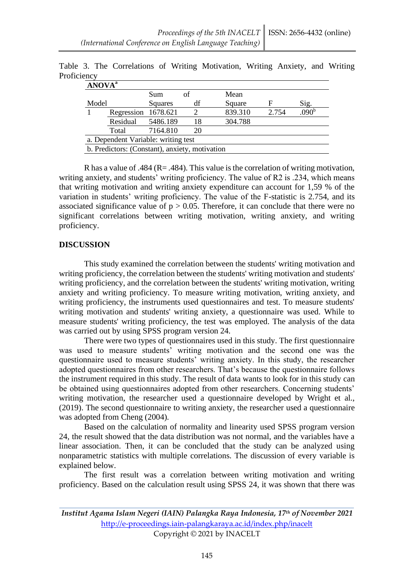| <b>ANOVA</b> <sup>a</sup>                      |                     |            |                       |         |       |                   |  |  |
|------------------------------------------------|---------------------|------------|-----------------------|---------|-------|-------------------|--|--|
|                                                |                     | <b>Sum</b> | οf                    | Mean    |       |                   |  |  |
| Model                                          |                     | Squares    | df                    | Square  | F     | Sig.              |  |  |
|                                                | Regression 1678.621 |            | $\mathcal{D}_{\cdot}$ | 839.310 | 2.754 | .090 <sup>b</sup> |  |  |
|                                                | Residual            | 5486.189   | 18                    | 304.788 |       |                   |  |  |
|                                                | Total               | 7164.810   | 20                    |         |       |                   |  |  |
| a. Dependent Variable: writing test            |                     |            |                       |         |       |                   |  |  |
| b. Predictors: (Constant), anxiety, motivation |                     |            |                       |         |       |                   |  |  |

Table 3. The Correlations of Writing Motivation, Writing Anxiety, and Writing **Proficiency** 

R has a value of .484 (R= .484). This value is the correlation of writing motivation, writing anxiety, and students' writing proficiency. The value of R2 is .234, which means that writing motivation and writing anxiety expenditure can account for 1,59 % of the variation in students' writing proficiency. The value of the F-statistic is 2.754, and its associated significance value of  $p > 0.05$ . Therefore, it can conclude that there were no significant correlations between writing motivation, writing anxiety, and writing proficiency.

## **DISCUSSION**

This study examined the correlation between the students' writing motivation and writing proficiency, the correlation between the students' writing motivation and students' writing proficiency, and the correlation between the students' writing motivation, writing anxiety and writing proficiency. To measure writing motivation, writing anxiety, and writing proficiency, the instruments used questionnaires and test. To measure students' writing motivation and students' writing anxiety, a questionnaire was used. While to measure students' writing proficiency, the test was employed. The analysis of the data was carried out by using SPSS program version 24.

There were two types of questionnaires used in this study. The first questionnaire was used to measure students' writing motivation and the second one was the questionnaire used to measure students' writing anxiety. In this study, the researcher adopted questionnaires from other researchers. That's because the questionnaire follows the instrument required in this study. The result of data wants to look for in this study can be obtained using questionnaires adopted from other researchers. Concerning students' writing motivation, the researcher used a questionnaire developed by Wright et al., (2019). The second questionnaire to writing anxiety, the researcher used a questionnaire was adopted from Cheng (2004).

Based on the calculation of normality and linearity used SPSS program version 24, the result showed that the data distribution was not normal, and the variables have a linear association. Then, it can be concluded that the study can be analyzed using nonparametric statistics with multiple correlations. The discussion of every variable is explained below.

The first result was a correlation between writing motivation and writing proficiency. Based on the calculation result using SPSS 24, it was shown that there was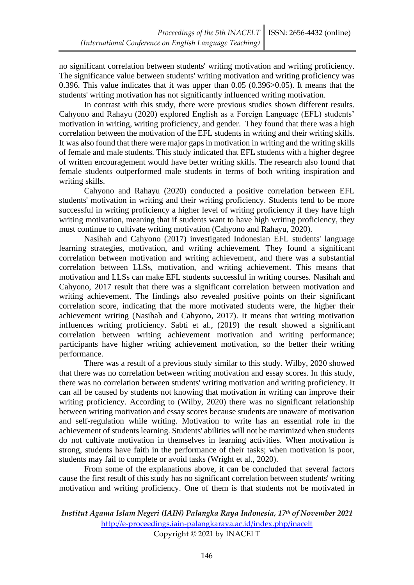no significant correlation between students' writing motivation and writing proficiency. The significance value between students' writing motivation and writing proficiency was 0.396. This value indicates that it was upper than 0.05 (0.396>0.05). It means that the students' writing motivation has not significantly influenced writing motivation.

In contrast with this study, there were previous studies shown different results. Cahyono and Rahayu (2020) explored English as a Foreign Language (EFL) students' motivation in writing, writing proficiency, and gender. They found that there was a high correlation between the motivation of the EFL students in writing and their writing skills. It was also found that there were major gaps in motivation in writing and the writing skills of female and male students. This study indicated that EFL students with a higher degree of written encouragement would have better writing skills. The research also found that female students outperformed male students in terms of both writing inspiration and writing skills.

Cahyono and Rahayu (2020) conducted a positive correlation between EFL students' motivation in writing and their writing proficiency. Students tend to be more successful in writing proficiency a higher level of writing proficiency if they have high writing motivation, meaning that if students want to have high writing proficiency, they must continue to cultivate writing motivation (Cahyono and Rahayu, 2020).

Nasihah and Cahyono (2017) investigated Indonesian EFL students' language learning strategies, motivation, and writing achievement. They found a significant correlation between motivation and writing achievement, and there was a substantial correlation between LLSs, motivation, and writing achievement. This means that motivation and LLSs can make EFL students successful in writing courses. Nasihah and Cahyono, 2017 result that there was a significant correlation between motivation and writing achievement. The findings also revealed positive points on their significant correlation score, indicating that the more motivated students were, the higher their achievement writing (Nasihah and Cahyono, 2017). It means that writing motivation influences writing proficiency. Sabti et al., (2019) the result showed a significant correlation between writing achievement motivation and writing performance; participants have higher writing achievement motivation, so the better their writing performance.

There was a result of a previous study similar to this study. Wilby, 2020 showed that there was no correlation between writing motivation and essay scores. In this study, there was no correlation between students' writing motivation and writing proficiency. It can all be caused by students not knowing that motivation in writing can improve their writing proficiency. According to (Wilby, 2020) there was no significant relationship between writing motivation and essay scores because students are unaware of motivation and self-regulation while writing. Motivation to write has an essential role in the achievement of students learning. Students' abilities will not be maximized when students do not cultivate motivation in themselves in learning activities. When motivation is strong, students have faith in the performance of their tasks; when motivation is poor, students may fail to complete or avoid tasks (Wright et al., 2020).

From some of the explanations above, it can be concluded that several factors cause the first result of this study has no significant correlation between students' writing motivation and writing proficiency. One of them is that students not be motivated in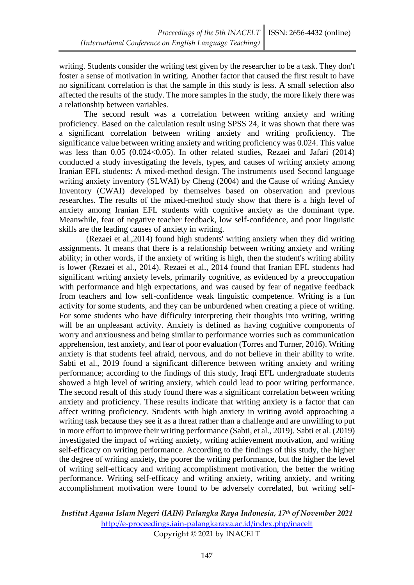writing. Students consider the writing test given by the researcher to be a task. They don't foster a sense of motivation in writing. Another factor that caused the first result to have no significant correlation is that the sample in this study is less. A small selection also affected the results of the study. The more samples in the study, the more likely there was a relationship between variables.

The second result was a correlation between writing anxiety and writing proficiency. Based on the calculation result using SPSS 24, it was shown that there was a significant correlation between writing anxiety and writing proficiency. The significance value between writing anxiety and writing proficiency was 0.024. This value was less than 0.05 (0.024<0.05). In other related studies, Rezaei and Jafari (2014) conducted a study investigating the levels, types, and causes of writing anxiety among Iranian EFL students: A mixed-method design. The instruments used Second language writing anxiety inventory (SLWAI) by Cheng (2004) and the Cause of writing Anxiety Inventory (CWAI) developed by themselves based on observation and previous researches. The results of the mixed-method study show that there is a high level of anxiety among Iranian EFL students with cognitive anxiety as the dominant type. Meanwhile, fear of negative teacher feedback, low self-confidence, and poor linguistic skills are the leading causes of anxiety in writing.

(Rezaei et al.,2014) found high students' writing anxiety when they did writing assignments. It means that there is a relationship between writing anxiety and writing ability; in other words, if the anxiety of writing is high, then the student's writing ability is lower (Rezaei et al., 2014). Rezaei et al., 2014 found that Iranian EFL students had significant writing anxiety levels, primarily cognitive, as evidenced by a preoccupation with performance and high expectations, and was caused by fear of negative feedback from teachers and low self-confidence weak linguistic competence. Writing is a fun activity for some students, and they can be unburdened when creating a piece of writing. For some students who have difficulty interpreting their thoughts into writing, writing will be an unpleasant activity. Anxiety is defined as having cognitive components of worry and anxiousness and being similar to performance worries such as communication apprehension, test anxiety, and fear of poor evaluation (Torres and Turner, 2016). Writing anxiety is that students feel afraid, nervous, and do not believe in their ability to write. Sabti et al., 2019 found a significant difference between writing anxiety and writing performance; according to the findings of this study, Iraqi EFL undergraduate students showed a high level of writing anxiety, which could lead to poor writing performance. The second result of this study found there was a significant correlation between writing anxiety and proficiency. These results indicate that writing anxiety is a factor that can affect writing proficiency. Students with high anxiety in writing avoid approaching a writing task because they see it as a threat rather than a challenge and are unwilling to put in more effort to improve their writing performance (Sabti, et al., 2019). Sabti et al. (2019) investigated the impact of writing anxiety, writing achievement motivation, and writing self-efficacy on writing performance. According to the findings of this study, the higher the degree of writing anxiety, the poorer the writing performance, but the higher the level of writing self-efficacy and writing accomplishment motivation, the better the writing performance. Writing self-efficacy and writing anxiety, writing anxiety, and writing accomplishment motivation were found to be adversely correlated, but writing self-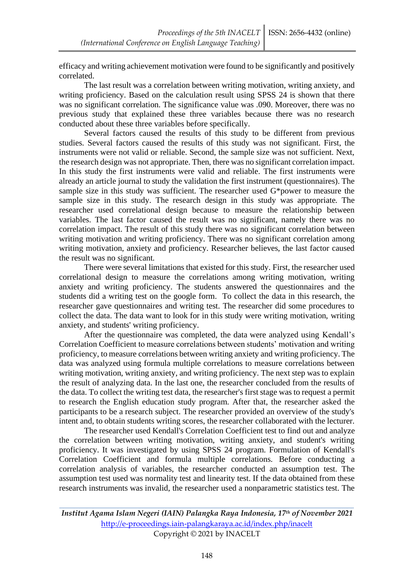efficacy and writing achievement motivation were found to be significantly and positively correlated.

The last result was a correlation between writing motivation, writing anxiety, and writing proficiency. Based on the calculation result using SPSS 24 is shown that there was no significant correlation. The significance value was .090. Moreover, there was no previous study that explained these three variables because there was no research conducted about these three variables before specifically.

Several factors caused the results of this study to be different from previous studies. Several factors caused the results of this study was not significant. First, the instruments were not valid or reliable. Second, the sample size was not sufficient. Next, the research design was not appropriate. Then, there was no significant correlation impact. In this study the first instruments were valid and reliable. The first instruments were already an article journal to study the validation the first instrument (questionnaires). The sample size in this study was sufficient. The researcher used G\*power to measure the sample size in this study. The research design in this study was appropriate. The researcher used correlational design because to measure the relationship between variables. The last factor caused the result was no significant, namely there was no correlation impact. The result of this study there was no significant correlation between writing motivation and writing proficiency. There was no significant correlation among writing motivation, anxiety and proficiency. Researcher believes, the last factor caused the result was no significant.

There were several limitations that existed for this study. First, the researcher used correlational design to measure the correlations among writing motivation, writing anxiety and writing proficiency. The students answered the questionnaires and the students did a writing test on the google form. To collect the data in this research, the researcher gave questionnaires and writing test. The researcher did some procedures to collect the data. The data want to look for in this study were writing motivation, writing anxiety, and students' writing proficiency.

After the questionnaire was completed, the data were analyzed using Kendall's Correlation Coefficient to measure correlations between students' motivation and writing proficiency, to measure correlations between writing anxiety and writing proficiency. The data was analyzed using formula multiple correlations to measure correlations between writing motivation, writing anxiety, and writing proficiency. The next step was to explain the result of analyzing data. In the last one, the researcher concluded from the results of the data. To collect the writing test data, the researcher's first stage was to request a permit to research the English education study program. After that, the researcher asked the participants to be a research subject. The researcher provided an overview of the study's intent and, to obtain students writing scores, the researcher collaborated with the lecturer.

The researcher used Kendall's Correlation Coefficient test to find out and analyze the correlation between writing motivation, writing anxiety, and student's writing proficiency. It was investigated by using SPSS 24 program. Formulation of Kendall's Correlation Coefficient and formula multiple correlations. Before conducting a correlation analysis of variables, the researcher conducted an assumption test. The assumption test used was normality test and linearity test. If the data obtained from these research instruments was invalid, the researcher used a nonparametric statistics test. The

*Institut Agama Islam Negeri (IAIN) Palangka Raya Indonesia, 17th of November 2021* <http://e-proceedings.iain-palangkaraya.ac.id/index.php/inacelt> Copyright © 2021 by INACELT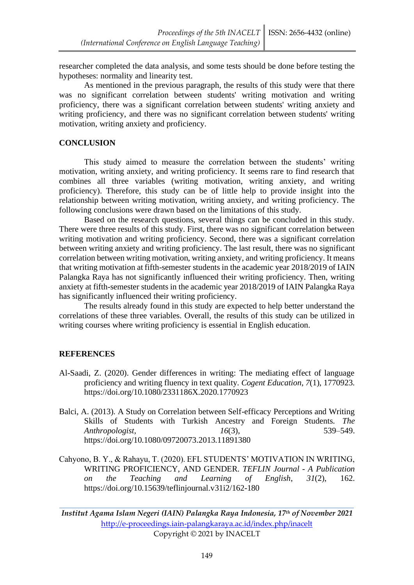researcher completed the data analysis, and some tests should be done before testing the hypotheses: normality and linearity test.

As mentioned in the previous paragraph, the results of this study were that there was no significant correlation between students' writing motivation and writing proficiency, there was a significant correlation between students' writing anxiety and writing proficiency, and there was no significant correlation between students' writing motivation, writing anxiety and proficiency.

#### **CONCLUSION**

This study aimed to measure the correlation between the students' writing motivation, writing anxiety, and writing proficiency. It seems rare to find research that combines all three variables (writing motivation, writing anxiety, and writing proficiency). Therefore, this study can be of little help to provide insight into the relationship between writing motivation, writing anxiety, and writing proficiency. The following conclusions were drawn based on the limitations of this study.

Based on the research questions, several things can be concluded in this study. There were three results of this study. First, there was no significant correlation between writing motivation and writing proficiency. Second, there was a significant correlation between writing anxiety and writing proficiency. The last result, there was no significant correlation between writing motivation, writing anxiety, and writing proficiency. It means that writing motivation at fifth-semester students in the academic year 2018/2019 of IAIN Palangka Raya has not significantly influenced their writing proficiency. Then, writing anxiety at fifth-semester students in the academic year 2018/2019 of IAIN Palangka Raya has significantly influenced their writing proficiency.

The results already found in this study are expected to help better understand the correlations of these three variables. Overall, the results of this study can be utilized in writing courses where writing proficiency is essential in English education.

### **REFERENCES**

- Al-Saadi, Z. (2020). Gender differences in writing: The mediating effect of language proficiency and writing fluency in text quality. *Cogent Education*, *7*(1), 1770923. https://doi.org/10.1080/2331186X.2020.1770923
- Balci, A. (2013). A Study on Correlation between Self-efficacy Perceptions and Writing Skills of Students with Turkish Ancestry and Foreign Students. *The Anthropologist*, *16*(3), 539–549. https://doi.org/10.1080/09720073.2013.11891380
- Cahyono, B. Y., & Rahayu, T. (2020). EFL STUDENTS' MOTIVATION IN WRITING, WRITING PROFICIENCY, AND GENDER. *TEFLIN Journal - A Publication on the Teaching and Learning of English*, *31*(2), 162. https://doi.org/10.15639/teflinjournal.v31i2/162-180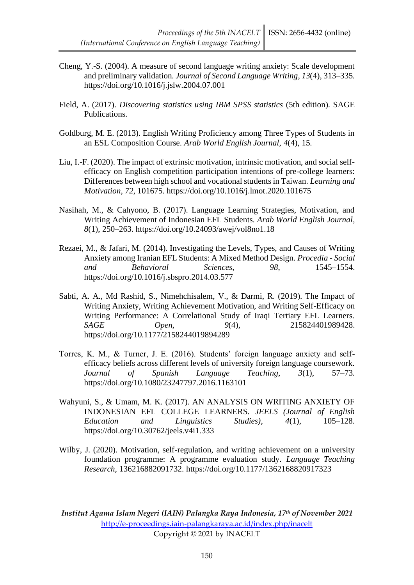- Cheng, Y.-S. (2004). A measure of second language writing anxiety: Scale development and preliminary validation. *Journal of Second Language Writing*, *13*(4), 313–335. https://doi.org/10.1016/j.jslw.2004.07.001
- Field, A. (2017). *Discovering statistics using IBM SPSS statistics* (5th edition). SAGE Publications.
- Goldburg, M. E. (2013). English Writing Proficiency among Three Types of Students in an ESL Composition Course. *Arab World English Journal*, *4*(4), 15.
- Liu, I.-F. (2020). The impact of extrinsic motivation, intrinsic motivation, and social selfefficacy on English competition participation intentions of pre-college learners: Differences between high school and vocational students in Taiwan. *Learning and Motivation*, *72*, 101675. https://doi.org/10.1016/j.lmot.2020.101675
- Nasihah, M., & Cahyono, B. (2017). Language Learning Strategies, Motivation, and Writing Achievement of Indonesian EFL Students. *Arab World English Journal*, *8*(1), 250–263. https://doi.org/10.24093/awej/vol8no1.18
- Rezaei, M., & Jafari, M. (2014). Investigating the Levels, Types, and Causes of Writing Anxiety among Iranian EFL Students: A Mixed Method Design. *Procedia - Social and Behavioral Sciences*, *98*, 1545–1554. https://doi.org/10.1016/j.sbspro.2014.03.577
- Sabti, A. A., Md Rashid, S., Nimehchisalem, V., & Darmi, R. (2019). The Impact of Writing Anxiety, Writing Achievement Motivation, and Writing Self-Efficacy on Writing Performance: A Correlational Study of Iraqi Tertiary EFL Learners. *SAGE Open*, *9*(4), 215824401989428. https://doi.org/10.1177/2158244019894289
- Torres, K. M., & Turner, J. E. (2016). Students' foreign language anxiety and selfefficacy beliefs across different levels of university foreign language coursework. *Journal of Spanish Language Teaching*, *3*(1), 57–73. https://doi.org/10.1080/23247797.2016.1163101
- Wahyuni, S., & Umam, M. K. (2017). AN ANALYSIS ON WRITING ANXIETY OF INDONESIAN EFL COLLEGE LEARNERS. *JEELS (Journal of English Education and Linguistics Studies)*, *4*(1), 105–128. https://doi.org/10.30762/jeels.v4i1.333
- Wilby, J. (2020). Motivation, self-regulation, and writing achievement on a university foundation programme: A programme evaluation study. *Language Teaching Research*, 136216882091732. https://doi.org/10.1177/1362168820917323